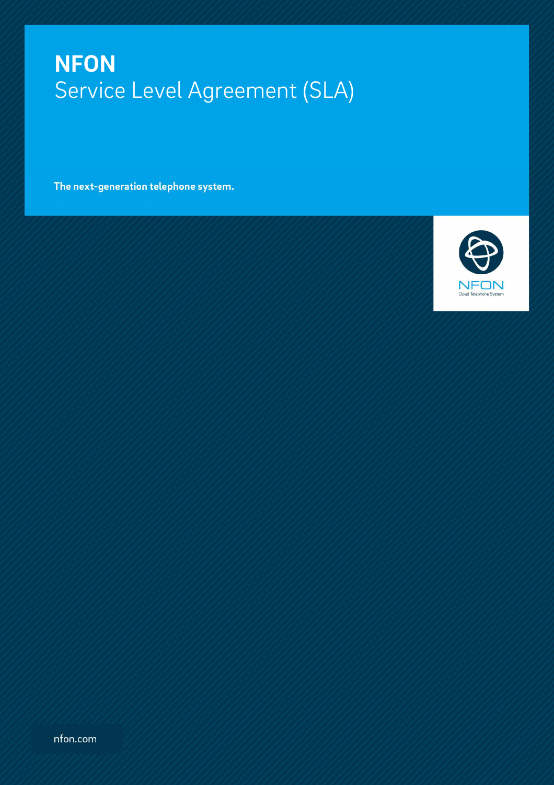The next-generation telephone system.



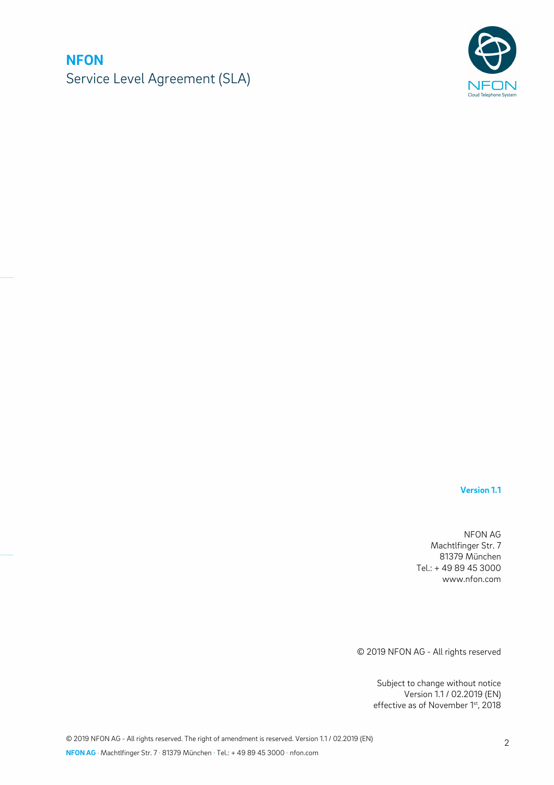

**Version 1.1** 

NFON AG Machtlfinger Str. 7 81379 München Tel.: + 49 89 45 3000 www.nfon.com

© 2019 NFON AG - All rights reserved

Subject to change without notice Version 1.1 / 02.2019 (EN) effective as of November 1st, 2018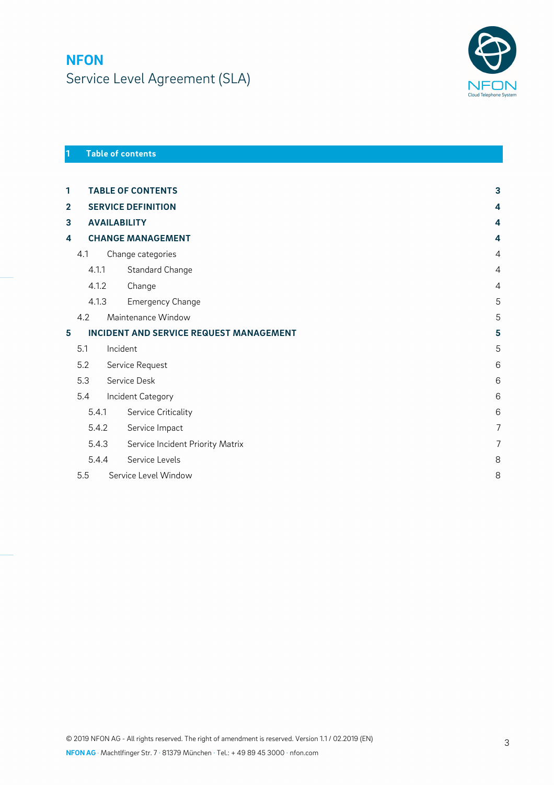

### **1 Table of contents**

| 1                       |       |                          | <b>TABLE OF CONTENTS</b>                | 3              |  |
|-------------------------|-------|--------------------------|-----------------------------------------|----------------|--|
| $\overline{\mathbf{2}}$ |       |                          | <b>SERVICE DEFINITION</b>               | 4              |  |
| 3                       |       |                          | <b>AVAILABILITY</b>                     | 4              |  |
| 4                       |       | <b>CHANGE MANAGEMENT</b> |                                         |                |  |
|                         | 4.1   |                          | Change categories                       | $\overline{4}$ |  |
|                         | 4.1.1 |                          | Standard Change                         | $\overline{4}$ |  |
| 4.1.2                   |       |                          | Change                                  | $\overline{4}$ |  |
|                         | 4.1.3 |                          | <b>Emergency Change</b>                 | 5              |  |
|                         | 4.2   |                          | Maintenance Window                      | 5              |  |
| 5                       |       |                          | INCIDENT AND SERVICE REQUEST MANAGEMENT | 5              |  |
|                         | 5.1   | Incident                 |                                         | 5              |  |
|                         | 5.2   |                          | Service Request                         | 6              |  |
|                         | 5.3   |                          | Service Desk                            | 6              |  |
|                         | 5.4   |                          | Incident Category                       | 6              |  |
|                         | 5.4.1 |                          | Service Criticality                     | 6              |  |
|                         | 5.4.2 |                          | Service Impact                          | $\overline{7}$ |  |
|                         | 5.4.3 |                          | Service Incident Priority Matrix        | $\overline{7}$ |  |
|                         | 5.4.4 |                          | Service Levels                          | 8              |  |
|                         | 5.5   |                          | Service Level Window                    | 8              |  |
|                         |       |                          |                                         |                |  |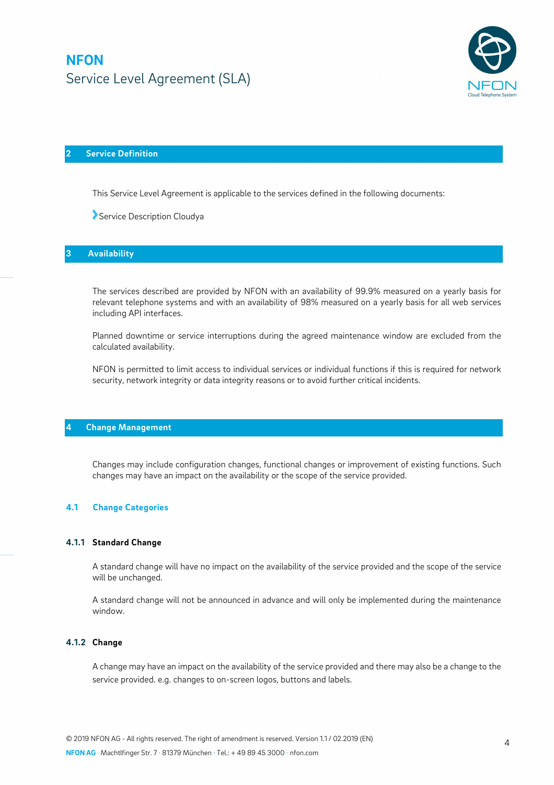

### **2 Service Definition**

This Service Level Agreement is applicable to the services defined in the following documents:

Service Description Cloudya

#### **3 Availability**

The services described are provided by NFON with an availability of 99.9% measured on a yearly basis for relevant telephone systems and with an availability of 98% measured on a yearly basis for all web services including API interfaces.

Planned downtime or service interruptions during the agreed maintenance window are excluded from the calculated availability.

NFON is permitted to limit access to individual services or individual functions if this is required for network security, network integrity or data integrity reasons or to avoid further critical incidents.

#### **4 Change Management**

Changes may include configuration changes, functional changes or improvement of existing functions. Such changes may have an impact on the availability or the scope of the service provided.

#### **4.1 Change Categories**

#### **4.1.1 Standard Change**

A standard change will have no impact on the availability of the service provided and the scope of the service will be unchanged.

A standard change will not be announced in advance and will only be implemented during the maintenance window.

#### **4.1.2 Change**

A change may have an impact on the availability of the service provided and there may also be a change to the service provided. e.g. changes to on-screen logos, buttons and labels.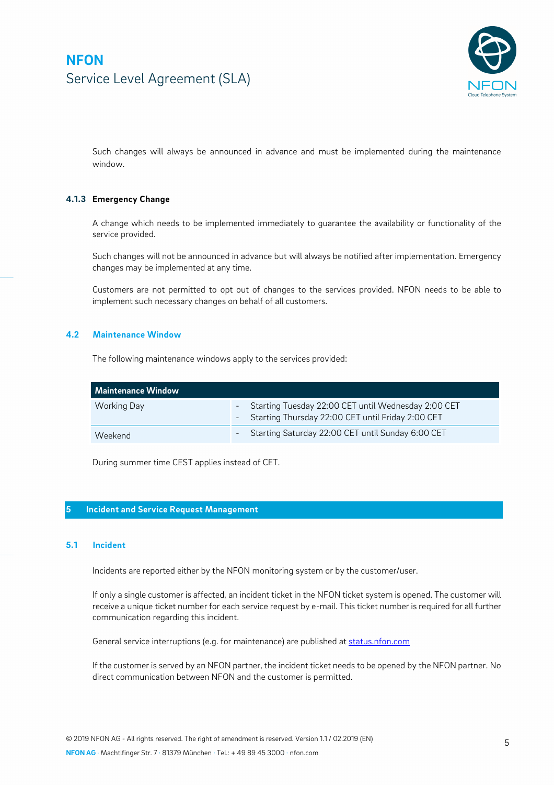

Such changes will always be announced in advance and must be implemented during the maintenance window.

### **4.1.3 Emergency Change**

A change which needs to be implemented immediately to guarantee the availability or functionality of the service provided.

Such changes will not be announced in advance but will always be notified after implementation. Emergency changes may be implemented at any time.

Customers are not permitted to opt out of changes to the services provided. NFON needs to be able to implement such necessary changes on behalf of all customers.

#### **4.2 Maintenance Window**

The following maintenance windows apply to the services provided:

| Maintenance Window |                                                                                                              |  |  |  |  |
|--------------------|--------------------------------------------------------------------------------------------------------------|--|--|--|--|
| Working Day        | - Starting Tuesday 22:00 CET until Wednesday 2:00 CET<br>- Starting Thursday 22:00 CET until Friday 2:00 CET |  |  |  |  |
| Weekend            | - Starting Saturday 22:00 CET until Sunday 6:00 CET                                                          |  |  |  |  |

During summer time CEST applies instead of CET.

#### **5 Incident and Service Request Management**

#### **5.1 Incident**

Incidents are reported either by the NFON monitoring system or by the customer/user.

If only a single customer is affected, an incident ticket in the NFON ticket system is opened. The customer will receive a unique ticket number for each service request by e-mail. This ticket number is required for all further communication regarding this incident.

General service interruptions (e.g. for maintenance) are published at status.nfon.com

If the customer is served by an NFON partner, the incident ticket needs to be opened by the NFON partner. No direct communication between NFON and the customer is permitted.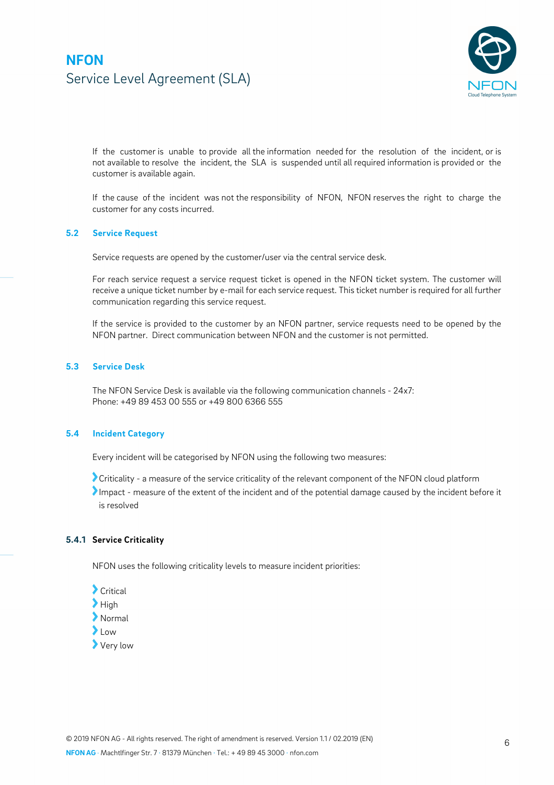

If the customer is unable to provide all the information needed for the resolution of the incident, or is not available to resolve the incident, the SLA is suspended until all required information is provided or the customer is available again.

If the cause of the incident was not the responsibility of NFON, NFON reserves the right to charge the customer for any costs incurred.

#### **5.2 Service Request**

Service requests are opened by the customer/user via the central service desk.

For reach service request a service request ticket is opened in the NFON ticket system. The customer will receive a unique ticket number by e-mail for each service request. This ticket number is required for all further communication regarding this service request.

If the service is provided to the customer by an NFON partner, service requests need to be opened by the NFON partner. Direct communication between NFON and the customer is not permitted.

#### **5.3 Service Desk**

The NFON Service Desk is available via the following communication channels - 24x7: Phone: +49 89 453 00 555 or +49 800 6366 555

#### **5.4 Incident Category**

Every incident will be categorised by NFON using the following two measures:

Criticality - a measure of the service criticality of the relevant component of the NFON cloud platform

Impact - measure of the extent of the incident and of the potential damage caused by the incident before it is resolved

#### **5.4.1 Service Criticality**

NFON uses the following criticality levels to measure incident priorities:

Critical  $\blacktriangleright$  High Normal  $\sum$ low Very low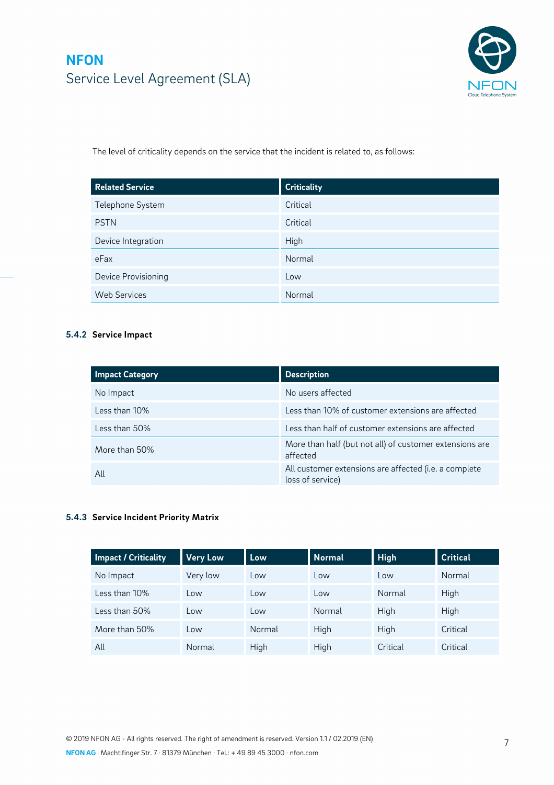

The level of criticality depends on the service that the incident is related to, as follows:

| <b>Related Service</b> | <b>Criticality</b> |
|------------------------|--------------------|
| Telephone System       | Critical           |
| <b>PSTN</b>            | Critical           |
| Device Integration     | High               |
| eFax                   | Normal             |
| Device Provisioning    | Low                |
| <b>Web Services</b>    | Normal             |

### **5.4.2 Service Impact**

| <b>Impact Category</b> | <b>Description</b>                                                        |
|------------------------|---------------------------------------------------------------------------|
| No Impact              | No users affected                                                         |
| Less than 10%          | Less than 10% of customer extensions are affected                         |
| Less than 50%          | Less than half of customer extensions are affected                        |
| More than 50%          | More than half (but not all) of customer extensions are<br>affected       |
| All                    | All customer extensions are affected (i.e. a complete<br>loss of service) |

### **5.4.3 Service Incident Priority Matrix**

| <b>Impact / Criticality</b> | <b>Very Low</b> | Low    | <b>Normal</b> | <b>High</b> | <b>Critical</b> |
|-----------------------------|-----------------|--------|---------------|-------------|-----------------|
| No Impact                   | Very low        | Low    | Low           | Low         | Normal          |
| Less than 10%               | Low             | Low    | Low           | Normal      | High            |
| Less than 50%               | Low             | Low    | Normal        | High        | High            |
| More than 50%               | Low             | Normal | High          | High        | Critical        |
| All                         | Normal          | High   | High          | Critical    | Critical        |